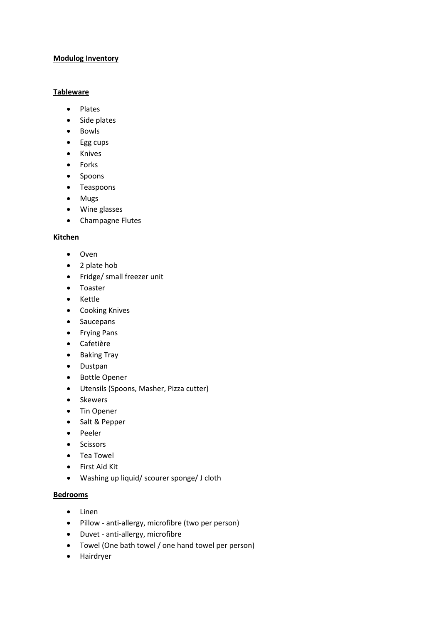### **Modulog Inventory**

#### **Tableware**

- Plates
- Side plates
- Bowls
- Egg cups
- Knives
- Forks
- Spoons
- Teaspoons
- Mugs
- Wine glasses
- Champagne Flutes

### **Kitchen**

- Oven
- 2 plate hob
- Fridge/ small freezer unit
- Toaster
- Kettle
- Cooking Knives
- Saucepans
- Frying Pans
- Cafetière
- Baking Tray
- Dustpan
- Bottle Opener
- Utensils (Spoons, Masher, Pizza cutter)
- Skewers
- Tin Opener
- Salt & Pepper
- Peeler
- Scissors
- Tea Towel
- First Aid Kit
- Washing up liquid/ scourer sponge/ J cloth

### **Bedrooms**

- Linen
- Pillow anti-allergy, microfibre (two per person)
- Duvet anti-allergy, microfibre
- Towel (One bath towel / one hand towel per person)
- Hairdryer